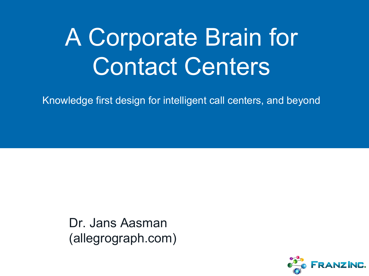# A Corporate Brain for Contact Centers

Knowledge first design for intelligent call centers, and beyond

Dr. Jans Aasman (allegrograph.com)

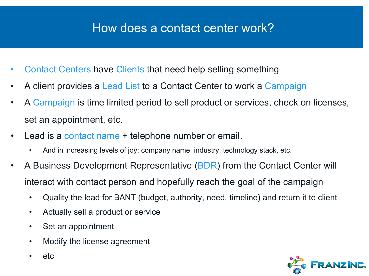#### How does a contact center work?

- Contact Centers have Clients that need help selling something
- A client provides a Lead List to a Contact Center to work a Campaign
- A Campaign is time limited period to sell product or services, check on licenses, set an appointment, etc.
- Lead is a contact name + telephone number or email.
	- And in increasing levels of joy: company name, industry, technology stack, etc.
- A Business Development Representative (BDR) from the Contact Center will interact with contact person and hopefully reach the goal of the campaign
	- Quality the lead for BANT (budget, authority, need, timeline) and return it to client
	- Actually sell a product or service
	- Set an appointment
	- Modify the license agreement
	- etc

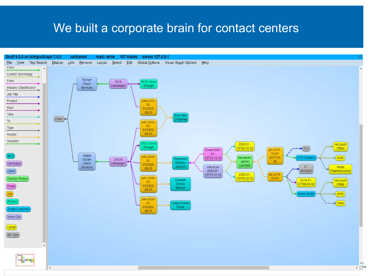#### We built a corporate brain for contact centers

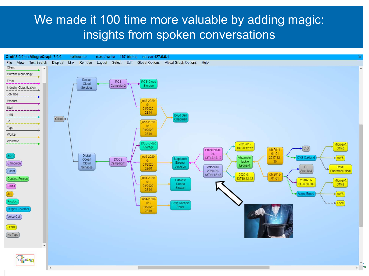#### We made it 100 time more valuable by adding magic: insights from spoken conversations

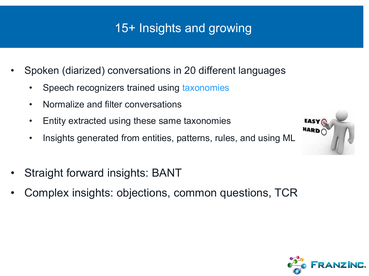## 15+ Insights and growing

- Spoken (diarized) conversations in 20 different languages
	- Speech recognizers trained using taxonomies
	- Normalize and filter conversations
	- Entity extracted using these same taxonomies
	- Insights generated from entities, patterns, rules, and using ML



- Straight forward insights: BANT
- Complex insights: objections, common questions, TCR

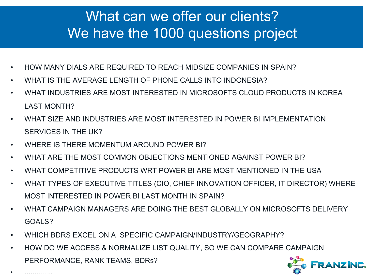## What can we offer our clients? We have the 1000 questions project

- HOW MANY DIALS ARE REQUIRED TO REACH MIDSIZE COMPANIES IN SPAIN?
- WHAT IS THE AVERAGE LENGTH OF PHONE CALLS INTO INDONESIA?
- WHAT INDUSTRIES ARE MOST INTERESTED IN MICROSOFTS CLOUD PRODUCTS IN KOREA LAST MONTH?
- WHAT SIZE AND INDUSTRIES ARE MOST INTERESTED IN POWER BI IMPLEMENTATION SERVICES IN THE UK?
- WHERE IS THERE MOMENTUM AROUND POWER BI?
- WHAT ARE THE MOST COMMON OBJECTIONS MENTIONED AGAINST POWER BI?
- WHAT COMPETITIVE PRODUCTS WRT POWER BI ARE MOST MENTIONED IN THE USA
- WHAT TYPES OF EXECUTIVE TITLES (CIO, CHIEF INNOVATION OFFICER, IT DIRECTOR) WHERE MOST INTERESTED IN POWER BI LAST MONTH IN SPAIN?
- WHAT CAMPAIGN MANAGERS ARE DOING THE BEST GLOBALLY ON MICROSOFTS DELIVERY GOALS?
- WHICH BDRS EXCEL ON A SPECIFIC CAMPAIGN/INDUSTRY/GEOGRAPHY?
- HOW DO WE ACCESS & NORMALIZE LIST QUALITY, SO WE CAN COMPARE CAMPAIGN PERFORMANCE, RANK TEAMS, BDRs?



• …………..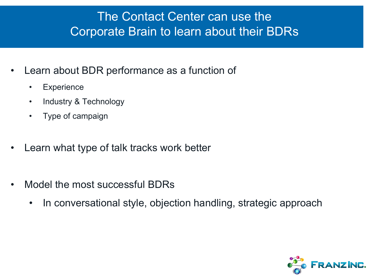#### The Contact Center can use the Corporate Brain to learn about their BDRs

- Learn about BDR performance as a function of
	- Experience
	- Industry & Technology
	- Type of campaign
- Learn what type of talk tracks work better
- Model the most successful BDRs
	- In conversational style, objection handling, strategic approach

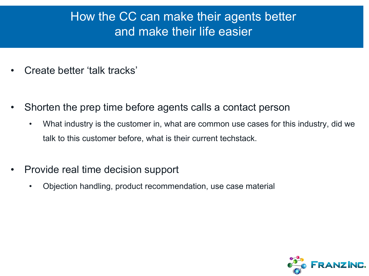#### How the CC can make their agents better and make their life easier

- Create better 'talk tracks'
- Shorten the prep time before agents calls a contact person
	- What industry is the customer in, what are common use cases for this industry, did we talk to this customer before, what is their current techstack.
- Provide real time decision support
	- Objection handling, product recommendation, use case material

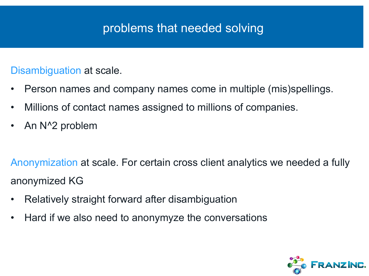#### problems that needed solving

#### Disambiguation at scale.

- Person names and company names come in multiple (mis)spellings.
- Millions of contact names assigned to millions of companies.
- An N^2 problem

Anonymization at scale. For certain cross client analytics we needed a fully anonymized KG

- Relatively straight forward after disambiguation
- Hard if we also need to anonymyze the conversations

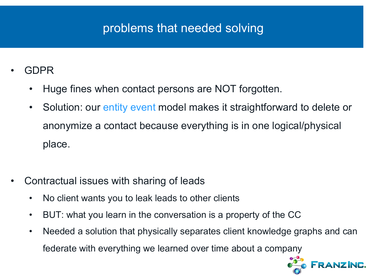#### problems that needed solving

- GDPR
	- Huge fines when contact persons are NOT forgotten.
	- Solution: our entity event model makes it straightforward to delete or anonymize a contact because everything is in one logical/physical place.
- Contractual issues with sharing of leads
	- No client wants you to leak leads to other clients
	- BUT: what you learn in the conversation is a property of the CC
	- Needed a solution that physically separates client knowledge graphs and can federate with everything we learned over time about a company

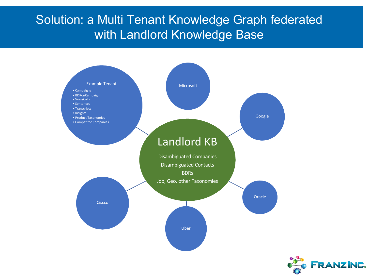#### Solution: a Multi Tenant Knowledge Graph federated with Landlord Knowledge Base